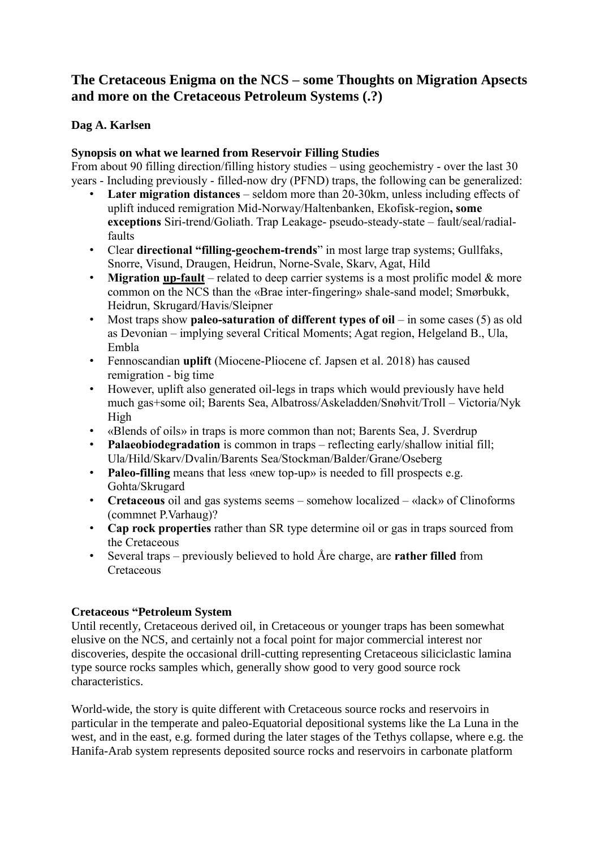## **The Cretaceous Enigma on the NCS – some Thoughts on Migration Apsects and more on the Cretaceous Petroleum Systems (.?)**

## **Dag A. Karlsen**

## **Synopsis on what we learned from Reservoir Filling Studies**

From about 90 filling direction/filling history studies – using geochemistry - over the last 30 years - Including previously - filled-now dry (PFND) traps, the following can be generalized:

- **Later migration distances** seldom more than 20-30km, unless including effects of uplift induced remigration Mid-Norway/Haltenbanken, Ekofisk-region**, some exceptions** Siri-trend/Goliath. Trap Leakage- pseudo-steady-state – fault/seal/radialfaults
- Clear **directional "filling-geochem-trends**" in most large trap systems; Gullfaks, Snorre, Visund, Draugen, Heidrun, Norne-Svale, Skarv, Agat, Hild
- **Migration up-fault** related to deep carrier systems is a most prolific model & more common on the NCS than the «Brae inter-fingering» shale-sand model; Smørbukk, Heidrun, Skrugard/Havis/Sleipner
- Most traps show **paleo-saturation of different types of oil** in some cases (5) as old as Devonian – implying several Critical Moments; Agat region, Helgeland B., Ula, Embla
- Fennoscandian **uplift** (Miocene-Pliocene cf. Japsen et al. 2018) has caused remigration - big time
- However, uplift also generated oil-legs in traps which would previously have held much gas+some oil; Barents Sea, Albatross/Askeladden/Snøhvit/Troll – Victoria/Nyk High
- «Blends of oils» in traps is more common than not; Barents Sea, J. Sverdrup
- **Palaeobiodegradation** is common in traps reflecting early/shallow initial fill; Ula/Hild/Skarv/Dvalin/Barents Sea/Stockman/Balder/Grane/Oseberg
- **Paleo-filling** means that less «new top-up» is needed to fill prospects e.g. Gohta/Skrugard
- **Cretaceous** oil and gas systems seems somehow localized «lack» of Clinoforms (commnet P.Varhaug)?
- **Cap rock properties** rather than SR type determine oil or gas in traps sourced from the Cretaceous
- Several traps previously believed to hold Åre charge, are **rather filled** from Cretaceous

## **Cretaceous "Petroleum System**

Until recently, Cretaceous derived oil, in Cretaceous or younger traps has been somewhat elusive on the NCS, and certainly not a focal point for major commercial interest nor discoveries, despite the occasional drill-cutting representing Cretaceous siliciclastic lamina type source rocks samples which, generally show good to very good source rock characteristics.

World-wide, the story is quite different with Cretaceous source rocks and reservoirs in particular in the temperate and paleo-Equatorial depositional systems like the La Luna in the west, and in the east, e.g. formed during the later stages of the Tethys collapse, where e.g. the Hanifa-Arab system represents deposited source rocks and reservoirs in carbonate platform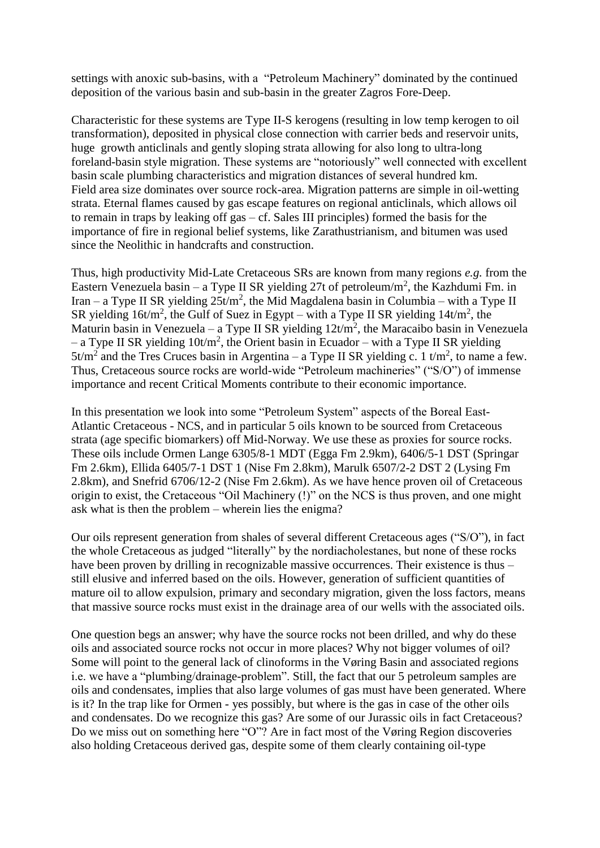settings with anoxic sub-basins, with a "Petroleum Machinery" dominated by the continued deposition of the various basin and sub-basin in the greater Zagros Fore-Deep.

Characteristic for these systems are Type II-S kerogens (resulting in low temp kerogen to oil transformation), deposited in physical close connection with carrier beds and reservoir units, huge growth anticlinals and gently sloping strata allowing for also long to ultra-long foreland-basin style migration. These systems are "notoriously" well connected with excellent basin scale plumbing characteristics and migration distances of several hundred km. Field area size dominates over source rock-area. Migration patterns are simple in oil-wetting strata. Eternal flames caused by gas escape features on regional anticlinals, which allows oil to remain in traps by leaking off gas – cf. Sales III principles) formed the basis for the importance of fire in regional belief systems, like Zarathustrianism, and bitumen was used since the Neolithic in handcrafts and construction.

Thus, high productivity Mid-Late Cretaceous SRs are known from many regions *e.g.* from the Eastern Venezuela basin – a Type II SR yielding 27t of petroleum/m<sup>2</sup>, the Kazhdumi Fm. in Iran – a Type II SR yielding  $25t/m^2$ , the Mid Magdalena basin in Columbia – with a Type II SR yielding  $16t/m^2$ , the Gulf of Suez in Egypt – with a Type II SR yielding  $14t/m^2$ , the Maturin basin in Venezuela – a Type II SR yielding  $12t/m^2$ , the Maracaibo basin in Venezuela – a Type II SR yielding  $10t/m^2$ , the Orient basin in Ecuador – with a Type II SR yielding  $5t/m^2$  and the Tres Cruces basin in Argentina – a Type II SR yielding c. 1 t/m<sup>2</sup>, to name a few. Thus, Cretaceous source rocks are world-wide "Petroleum machineries" ("S/O") of immense importance and recent Critical Moments contribute to their economic importance.

In this presentation we look into some "Petroleum System" aspects of the Boreal East-Atlantic Cretaceous - NCS, and in particular 5 oils known to be sourced from Cretaceous strata (age specific biomarkers) off Mid-Norway. We use these as proxies for source rocks. These oils include Ormen Lange 6305/8-1 MDT (Egga Fm 2.9km), 6406/5-1 DST (Springar Fm 2.6km), Ellida 6405/7-1 DST 1 (Nise Fm 2.8km), Marulk 6507/2-2 DST 2 (Lysing Fm 2.8km), and Snefrid 6706/12-2 (Nise Fm 2.6km). As we have hence proven oil of Cretaceous origin to exist, the Cretaceous "Oil Machinery (!)" on the NCS is thus proven, and one might ask what is then the problem – wherein lies the enigma?

Our oils represent generation from shales of several different Cretaceous ages ("S/O"), in fact the whole Cretaceous as judged "literally" by the nordiacholestanes, but none of these rocks have been proven by drilling in recognizable massive occurrences. Their existence is thus – still elusive and inferred based on the oils. However, generation of sufficient quantities of mature oil to allow expulsion, primary and secondary migration, given the loss factors, means that massive source rocks must exist in the drainage area of our wells with the associated oils.

One question begs an answer; why have the source rocks not been drilled, and why do these oils and associated source rocks not occur in more places? Why not bigger volumes of oil? Some will point to the general lack of clinoforms in the Vøring Basin and associated regions i.e. we have a "plumbing/drainage-problem". Still, the fact that our 5 petroleum samples are oils and condensates, implies that also large volumes of gas must have been generated. Where is it? In the trap like for Ormen - yes possibly, but where is the gas in case of the other oils and condensates. Do we recognize this gas? Are some of our Jurassic oils in fact Cretaceous? Do we miss out on something here "O"? Are in fact most of the Vøring Region discoveries also holding Cretaceous derived gas, despite some of them clearly containing oil-type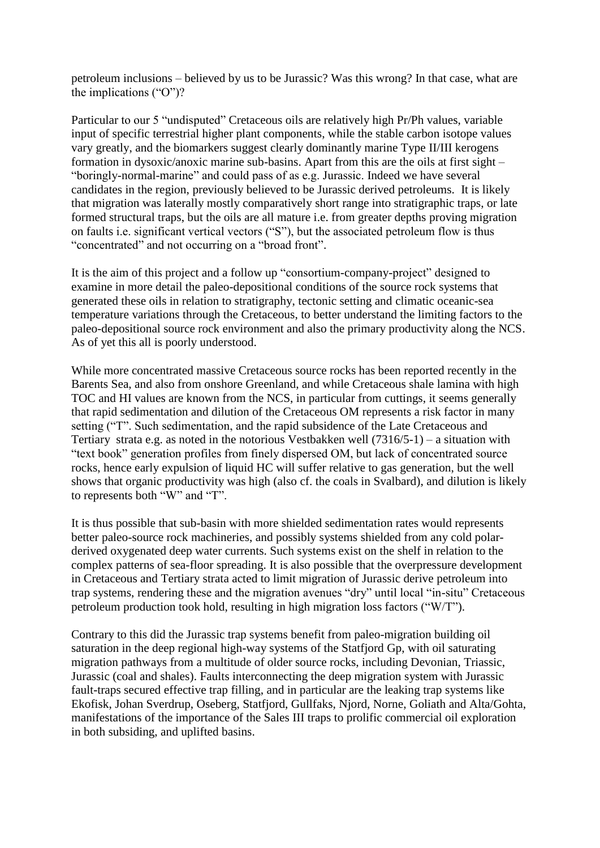petroleum inclusions – believed by us to be Jurassic? Was this wrong? In that case, what are the implications ("O")?

Particular to our 5 "undisputed" Cretaceous oils are relatively high Pr/Ph values, variable input of specific terrestrial higher plant components, while the stable carbon isotope values vary greatly, and the biomarkers suggest clearly dominantly marine Type II/III kerogens formation in dysoxic/anoxic marine sub-basins. Apart from this are the oils at first sight – "boringly-normal-marine" and could pass of as e.g. Jurassic. Indeed we have several candidates in the region, previously believed to be Jurassic derived petroleums. It is likely that migration was laterally mostly comparatively short range into stratigraphic traps, or late formed structural traps, but the oils are all mature i.e. from greater depths proving migration on faults i.e. significant vertical vectors ("S"), but the associated petroleum flow is thus "concentrated" and not occurring on a "broad front".

It is the aim of this project and a follow up "consortium-company-project" designed to examine in more detail the paleo-depositional conditions of the source rock systems that generated these oils in relation to stratigraphy, tectonic setting and climatic oceanic-sea temperature variations through the Cretaceous, to better understand the limiting factors to the paleo-depositional source rock environment and also the primary productivity along the NCS. As of yet this all is poorly understood.

While more concentrated massive Cretaceous source rocks has been reported recently in the Barents Sea, and also from onshore Greenland, and while Cretaceous shale lamina with high TOC and HI values are known from the NCS, in particular from cuttings, it seems generally that rapid sedimentation and dilution of the Cretaceous OM represents a risk factor in many setting ("T". Such sedimentation, and the rapid subsidence of the Late Cretaceous and Tertiary strata e.g. as noted in the notorious Vestbakken well (7316/5-1) – a situation with "text book" generation profiles from finely dispersed OM, but lack of concentrated source rocks, hence early expulsion of liquid HC will suffer relative to gas generation, but the well shows that organic productivity was high (also cf. the coals in Svalbard), and dilution is likely to represents both "W" and "T".

It is thus possible that sub-basin with more shielded sedimentation rates would represents better paleo-source rock machineries, and possibly systems shielded from any cold polarderived oxygenated deep water currents. Such systems exist on the shelf in relation to the complex patterns of sea-floor spreading. It is also possible that the overpressure development in Cretaceous and Tertiary strata acted to limit migration of Jurassic derive petroleum into trap systems, rendering these and the migration avenues "dry" until local "in-situ" Cretaceous petroleum production took hold, resulting in high migration loss factors ("W/T").

Contrary to this did the Jurassic trap systems benefit from paleo-migration building oil saturation in the deep regional high-way systems of the Statfjord Gp, with oil saturating migration pathways from a multitude of older source rocks, including Devonian, Triassic, Jurassic (coal and shales). Faults interconnecting the deep migration system with Jurassic fault-traps secured effective trap filling, and in particular are the leaking trap systems like Ekofisk, Johan Sverdrup, Oseberg, Statfjord, Gullfaks, Njord, Norne, Goliath and Alta/Gohta, manifestations of the importance of the Sales III traps to prolific commercial oil exploration in both subsiding, and uplifted basins.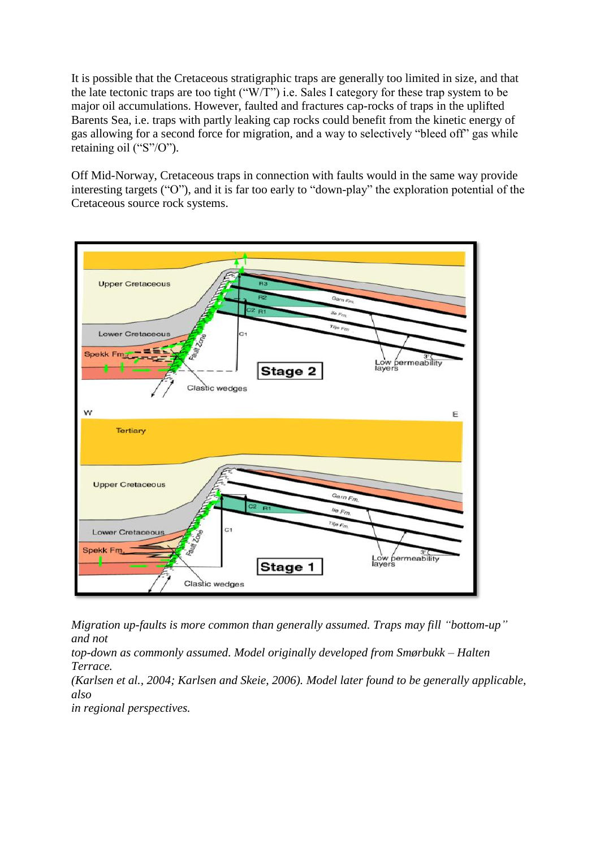It is possible that the Cretaceous stratigraphic traps are generally too limited in size, and that the late tectonic traps are too tight ("W/T") i.e. Sales I category for these trap system to be major oil accumulations. However, faulted and fractures cap-rocks of traps in the uplifted Barents Sea, i.e. traps with partly leaking cap rocks could benefit from the kinetic energy of gas allowing for a second force for migration, and a way to selectively "bleed off" gas while retaining oil ("S"/O").

Off Mid-Norway, Cretaceous traps in connection with faults would in the same way provide interesting targets ("O"), and it is far too early to "down-play" the exploration potential of the Cretaceous source rock systems.



*Migration up-faults is more common than generally assumed. Traps may fill "bottom-up" and not* 

*top-down as commonly assumed. Model originally developed from Smørbukk – Halten Terrace.*

*(Karlsen et al., 2004; Karlsen and Skeie, 2006). Model later found to be generally applicable, also* 

*in regional perspectives.*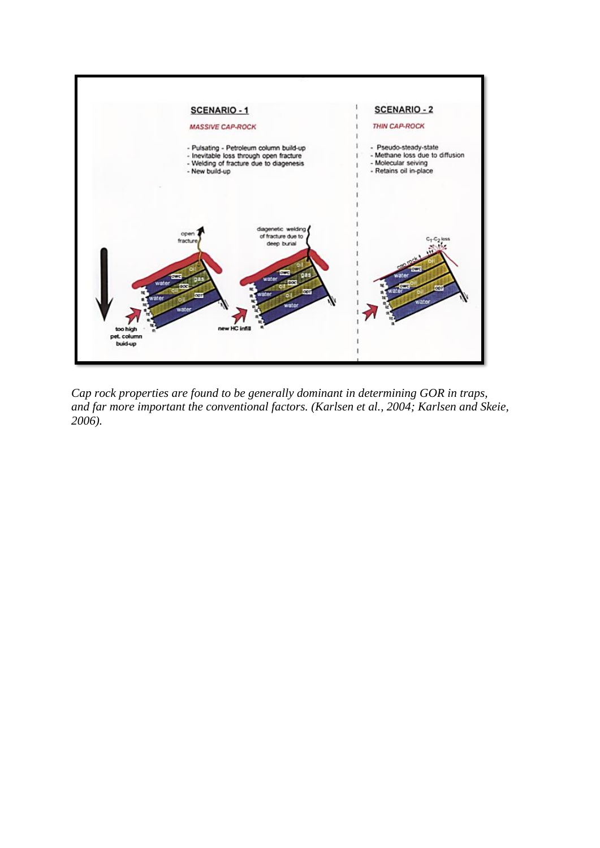

*Cap rock properties are found to be generally dominant in determining GOR in traps, and far more important the conventional factors. (Karlsen et al., 2004; Karlsen and Skeie, 2006).*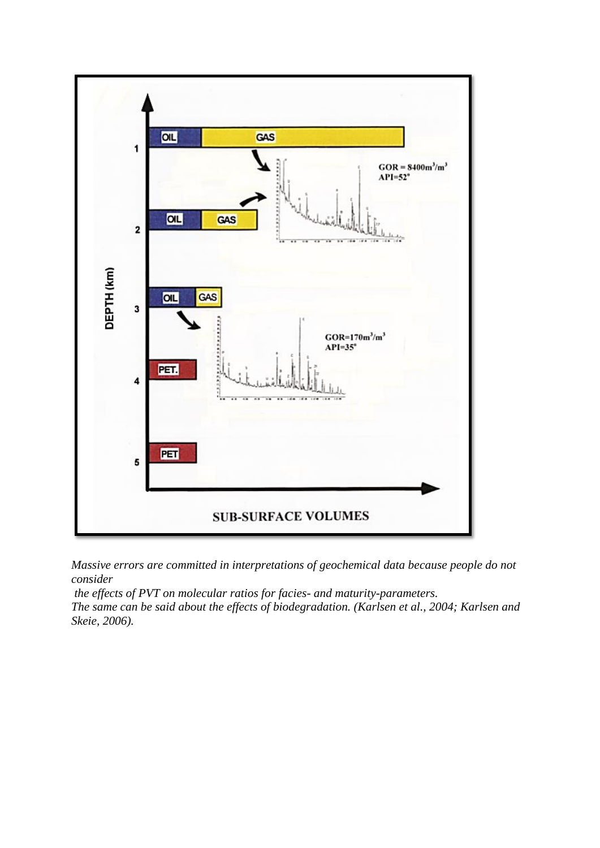

*Massive errors are committed in interpretations of geochemical data because people do not consider*

*the effects of PVT on molecular ratios for facies- and maturity-parameters.* 

*The same can be said about the effects of biodegradation. (Karlsen et al., 2004; Karlsen and Skeie, 2006).*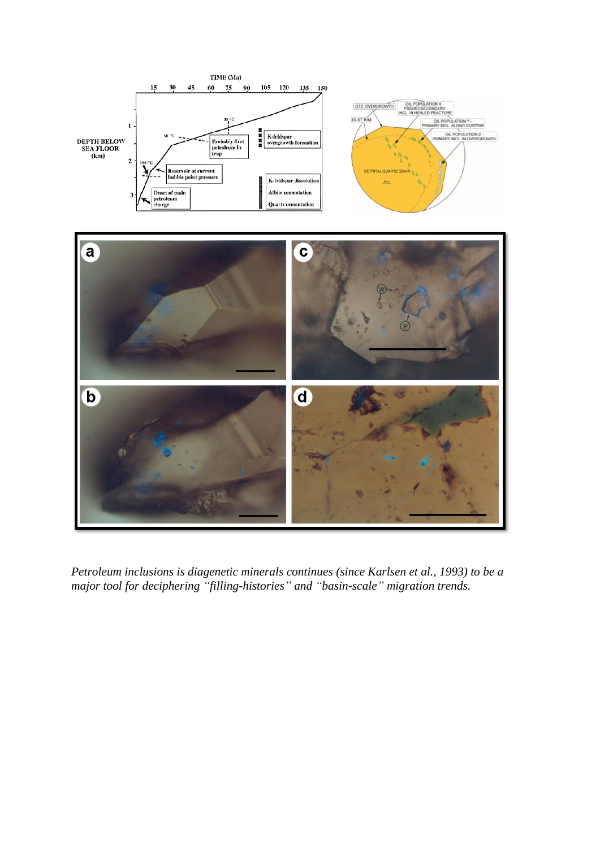

*Petroleum inclusions is diagenetic minerals continues (since Karlsen et al., 1993) to be a major tool for deciphering "filling-histories" and "basin-scale" migration trends.*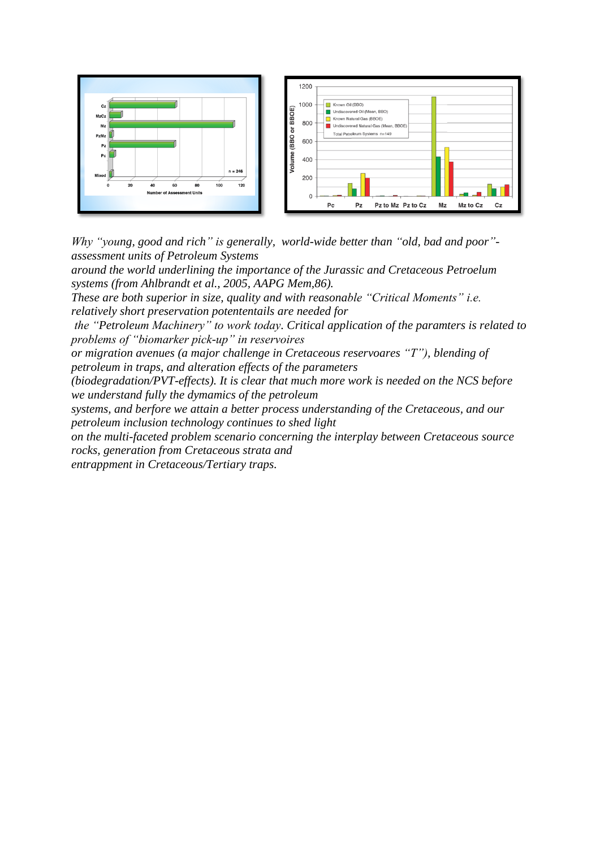

*Why "young, good and rich" is generally, world-wide better than "old, bad and poor" assessment units of Petroleum Systems* 

*around the world underlining the importance of the Jurassic and Cretaceous Petroelum systems (from Ahlbrandt et al., 2005, AAPG Mem,86).* 

*These are both superior in size, quality and with reasonable "Critical Moments" i.e. relatively short preservation potententails are needed for*

*the "Petroleum Machinery" to work today. Critical application of the paramters is related to problems of "biomarker pick-up" in reservoires* 

*or migration avenues (a major challenge in Cretaceous reservoares "T"), blending of petroleum in traps, and alteration effects of the parameters* 

*(biodegradation/PVT-effects). It is clear that much more work is needed on the NCS before we understand fully the dymamics of the petroleum* 

*systems, and berfore we attain a better process understanding of the Cretaceous, and our petroleum inclusion technology continues to shed light* 

*on the multi-faceted problem scenario concerning the interplay between Cretaceous source rocks, generation from Cretaceous strata and* 

*entrappment in Cretaceous/Tertiary traps.*